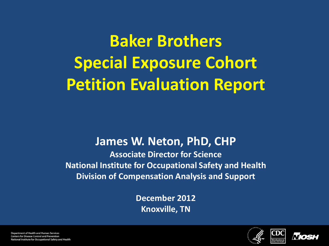**Baker Brothers Special Exposure Cohort Petition Evaluation Report**

#### **James W. Neton, PhD, CHP**

**Associate Director for Science National Institute for Occupational Safety and Health Division of Compensation Analysis and Support**

> **December 2012 Knoxville, TN**





**Department of Health and Human Services Centers for Disease Control and Prevention** National Institute for Occupational Safety and Health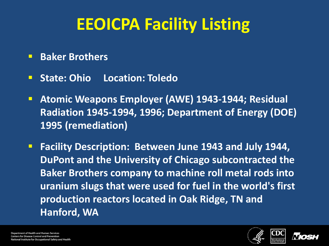## **EEOICPA Facility Listing**

- **Baker Brothers**
- **F** State: Ohio Location: Toledo
- **Atomic Weapons Employer (AWE) 1943-1944; Residual Radiation 1945-1994, 1996; Department of Energy (DOE) 1995 (remediation)**
- **Facility Description: Between June 1943 and July 1944, DuPont and the University of Chicago subcontracted the Baker Brothers company to machine roll metal rods into uranium slugs that were used for fuel in the world's first production reactors located in Oak Ridge, TN and Hanford, WA**



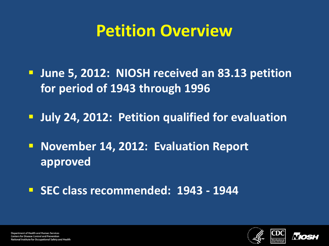### **Petition Overview**

- **June 5, 2012: NIOSH received an 83.13 petition for period of 1943 through 1996**
- **July 24, 2012: Petition qualified for evaluation**
- **November 14, 2012: Evaluation Report approved**
- **SEC class recommended: 1943 - 1944**



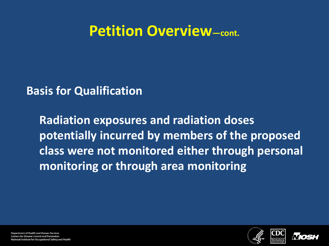#### **Petition Overview—cont.**

**Basis for Qualification**

**Radiation exposures and radiation doses potentially incurred by members of the proposed class were not monitored either through personal monitoring or through area monitoring**



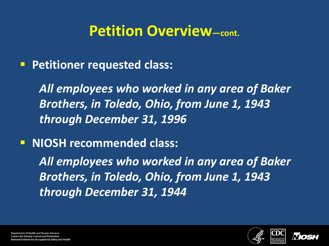#### **Petition Overview—cont.**

**Petitioner requested class:** 

*All employees who worked in any area of Baker Brothers, in Toledo, Ohio, from June 1, 1943 through December 31, 1996*

**NIOSH recommended class:** 

*All employees who worked in any area of Baker Brothers, in Toledo, Ohio, from June 1, 1943 through December 31, 1944*



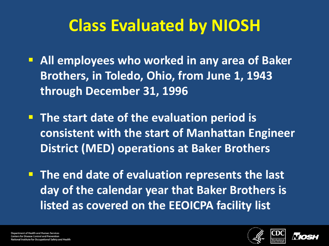## **Class Evaluated by NIOSH**

- **All employees who worked in any area of Baker Brothers, in Toledo, Ohio, from June 1, 1943 through December 31, 1996**
- **The start date of the evaluation period is consistent with the start of Manhattan Engineer District (MED) operations at Baker Brothers**
- **The end date of evaluation represents the last day of the calendar year that Baker Brothers is listed as covered on the EEOICPA facility list**



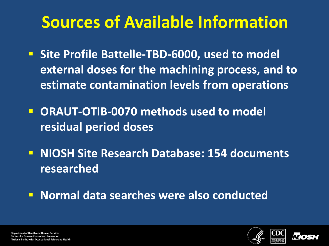## **Sources of Available Information**

- **F** Site Profile Battelle-TBD-6000, used to model **external doses for the machining process, and to estimate contamination levels from operations**
- **ORAUT-OTIB-0070 methods used to model residual period doses**
- **NIOSH Site Research Database: 154 documents researched**
- **Normal data searches were also conducted**



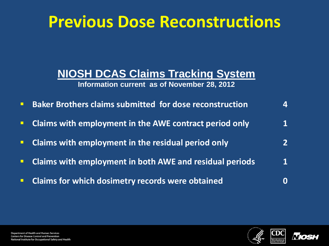#### **Previous Dose Reconstructions**

#### **NIOSH DCAS Claims Tracking System**

#### **Information current as of November 28, 2012**

- **Baker Brothers claims submitted for dose reconstruction 4**
- **E** Claims with employment in the AWE contract period only **1**
- **Claims with employment in the residual period only 2**
- **Claims with employment in both AWE and residual periods 1**
- **Claims for which dosimetry records were obtained CLA CLANCE 10 CLANCE 10 CLANCE 10 CLANCE 10 CLANCE 10 CLANCE**



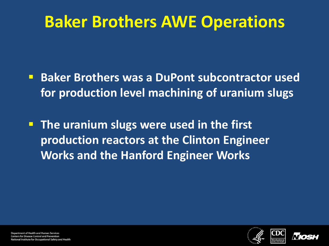### **Baker Brothers AWE Operations**

- **Baker Brothers was a DuPont subcontractor used for production level machining of uranium slugs**
- **The uranium slugs were used in the first production reactors at the Clinton Engineer Works and the Hanford Engineer Works**



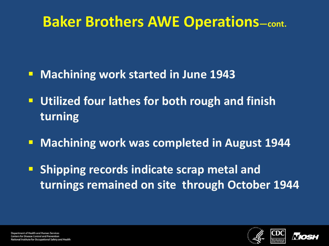#### **Baker Brothers AWE Operations—cont.**

- **Machining work started in June 1943**
- **Utilized four lathes for both rough and finish turning**
- **Machining work was completed in August 1944**
- **Shipping records indicate scrap metal and turnings remained on site through October 1944**



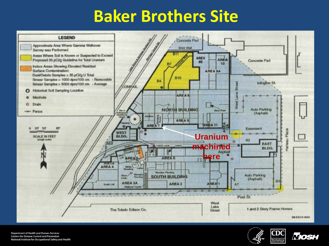## **Baker Brothers Site**







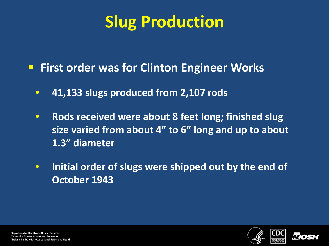## **Slug Production**

- **First order was for Clinton Engineer Works** 
	- **41,133 slugs produced from 2,107 rods**
	- **Rods received were about 8 feet long; finished slug size varied from about 4" to 6" long and up to about 1.3" diameter**
	- **Initial order of slugs were shipped out by the end of October 1943**



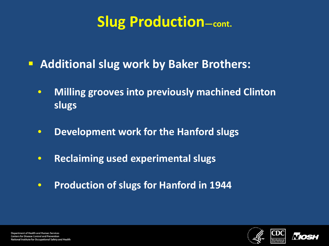#### **Slug Production—cont.**

- **Additional slug work by Baker Brothers:** 
	- **Milling grooves into previously machined Clinton slugs**
	- **Development work for the Hanford slugs**
	- **Reclaiming used experimental slugs**
	- **Production of slugs for Hanford in 1944**



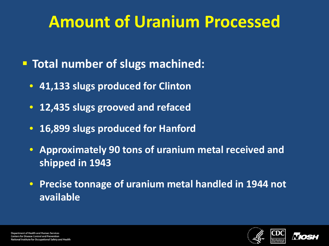## **Amount of Uranium Processed**

- **Total number of slugs machined:** 
	- **41,133 slugs produced for Clinton**
	- **12,435 slugs grooved and refaced**
	- **16,899 slugs produced for Hanford**
	- **Approximately 90 tons of uranium metal received and shipped in 1943**
	- **Precise tonnage of uranium metal handled in 1944 not available**



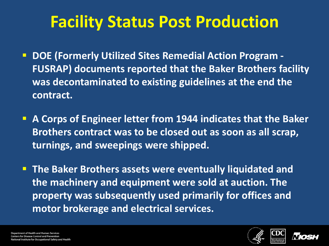## **Facility Status Post Production**

- **DOE (Formerly Utilized Sites Remedial Action Program - FUSRAP) documents reported that the Baker Brothers facility was decontaminated to existing guidelines at the end the contract.**
- **A Corps of Engineer letter from 1944 indicates that the Baker Brothers contract was to be closed out as soon as all scrap, turnings, and sweepings were shipped.**

 **The Baker Brothers assets were eventually liquidated and the machinery and equipment were sold at auction. The property was subsequently used primarily for offices and motor brokerage and electrical services.**

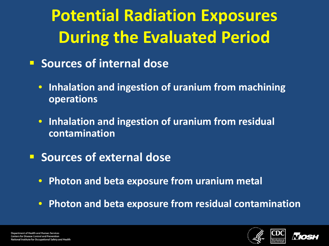# **Potential Radiation Exposures During the Evaluated Period**

- **F** Sources of internal dose
	- **Inhalation and ingestion of uranium from machining operations**
	- **Inhalation and ingestion of uranium from residual contamination**
- **F** Sources of external dose
	- **Photon and beta exposure from uranium metal**
	- **Photon and beta exposure from residual contamination**



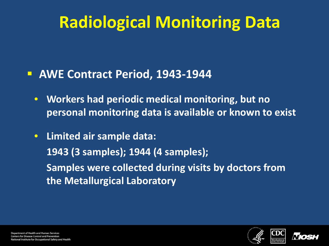## **Radiological Monitoring Data**

#### **AWE Contract Period, 1943-1944**

- **Workers had periodic medical monitoring, but no personal monitoring data is available or known to exist**
- **Limited air sample data: 1943 (3 samples); 1944 (4 samples); Samples were collected during visits by doctors from the Metallurgical Laboratory**



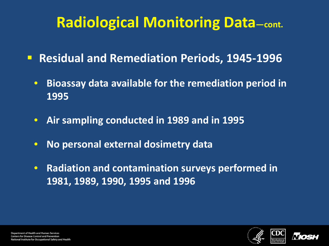#### **Radiological Monitoring Data—cont.**

- **Residual and Remediation Periods, 1945-1996**
	- **Bioassay data available for the remediation period in 1995**
	- **Air sampling conducted in 1989 and in 1995**
	- **No personal external dosimetry data**
	- **Radiation and contamination surveys performed in 1981, 1989, 1990, 1995 and 1996**



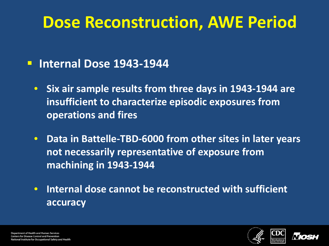### **Dose Reconstruction, AWE Period**

#### **Internal Dose 1943-1944**

- **Six air sample results from three days in 1943-1944 are insufficient to characterize episodic exposures from operations and fires**
- **Data in Battelle-TBD-6000 from other sites in later years not necessarily representative of exposure from machining in 1943-1944**
- **Internal dose cannot be reconstructed with sufficient accuracy**



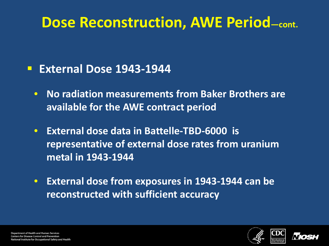#### **Dose Reconstruction, AWE Period—cont.**

#### **External Dose 1943-1944**

- **No radiation measurements from Baker Brothers are available for the AWE contract period**
- **External dose data in Battelle-TBD-6000 is representative of external dose rates from uranium metal in 1943-1944**
- **External dose from exposures in 1943-1944 can be reconstructed with sufficient accuracy**



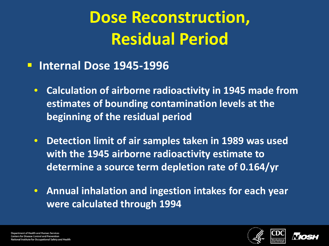## **Dose Reconstruction, Residual Period**

- **Internal Dose 1945-1996**
	- **Calculation of airborne radioactivity in 1945 made from estimates of bounding contamination levels at the beginning of the residual period**
	- **Detection limit of air samples taken in 1989 was used with the 1945 airborne radioactivity estimate to determine a source term depletion rate of 0.164/yr**
	- **Annual inhalation and ingestion intakes for each year were calculated through 1994**



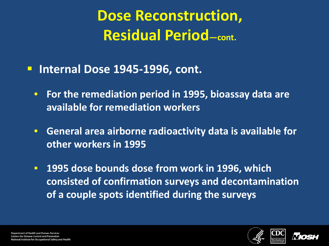**Dose Reconstruction, Residual Period—cont.** 

- **Internal Dose 1945-1996, cont.**
	- **For the remediation period in 1995, bioassay data are available for remediation workers**
	- **General area airborne radioactivity data is available for other workers in 1995**
	- **1995 dose bounds dose from work in 1996, which consisted of confirmation surveys and decontamination of a couple spots identified during the surveys**



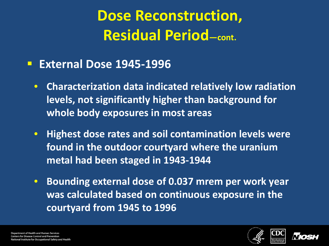### **Dose Reconstruction, Residual Period—cont.**

#### **External Dose 1945-1996**

- **Characterization data indicated relatively low radiation levels, not significantly higher than background for whole body exposures in most areas**
- **Highest dose rates and soil contamination levels were found in the outdoor courtyard where the uranium metal had been staged in 1943-1944**
- **Bounding external dose of 0.037 mrem per work year was calculated based on continuous exposure in the courtyard from 1945 to 1996**



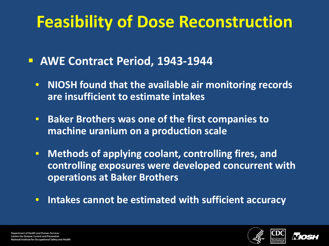## **Feasibility of Dose Reconstruction**

- **AWE Contract Period, 1943-1944**
	- **NIOSH found that the available air monitoring records are insufficient to estimate intakes**
	- **Baker Brothers was one of the first companies to machine uranium on a production scale**
	- **Methods of applying coolant, controlling fires, and controlling exposures were developed concurrent with operations at Baker Brothers**
	- **Intakes cannot be estimated with sufficient accuracy**



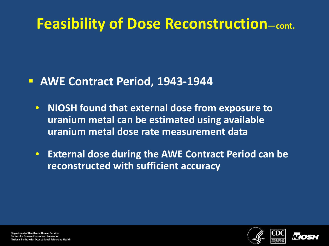#### **Feasibility of Dose Reconstruction—cont.**

#### **AWE Contract Period, 1943-1944**

- **NIOSH found that external dose from exposure to uranium metal can be estimated using available uranium metal dose rate measurement data**
- **External dose during the AWE Contract Period can be reconstructed with sufficient accuracy**

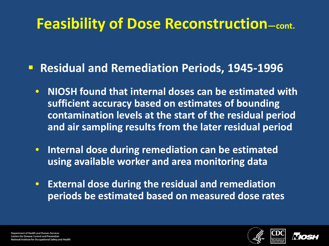#### **Feasibility of Dose Reconstruction—cont.**

**Residual and Remediation Periods, 1945-1996** 

- **NIOSH found that internal doses can be estimated with sufficient accuracy based on estimates of bounding contamination levels at the start of the residual period and air sampling results from the later residual period**
- **Internal dose during remediation can be estimated using available worker and area monitoring data**
- **External dose during the residual and remediation periods be estimated based on measured dose rates**



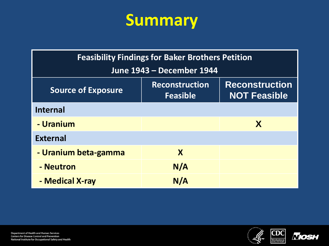

| <b>Feasibility Findings for Baker Brothers Petition</b> |                                          |                                              |  |
|---------------------------------------------------------|------------------------------------------|----------------------------------------------|--|
| June 1943 - December 1944                               |                                          |                                              |  |
| <b>Source of Exposure</b>                               | <b>Reconstruction</b><br><b>Feasible</b> | <b>Reconstruction</b><br><b>NOT Feasible</b> |  |
| <b>Internal</b>                                         |                                          |                                              |  |
| - Uranium                                               |                                          | X                                            |  |
| <b>External</b>                                         |                                          |                                              |  |
| - Uranium beta-gamma                                    | X                                        |                                              |  |
| - Neutron                                               | N/A                                      |                                              |  |
| - Medical X-ray                                         | N/A                                      |                                              |  |



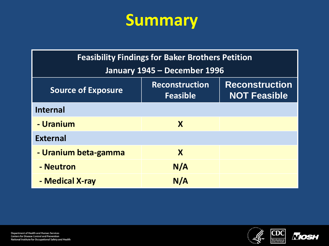

| <b>Feasibility Findings for Baker Brothers Petition</b> |                                          |                                              |  |
|---------------------------------------------------------|------------------------------------------|----------------------------------------------|--|
| January 1945 - December 1996                            |                                          |                                              |  |
| <b>Source of Exposure</b>                               | <b>Reconstruction</b><br><b>Feasible</b> | <b>Reconstruction</b><br><b>NOT Feasible</b> |  |
| <b>Internal</b>                                         |                                          |                                              |  |
| - Uranium                                               | $\mathbf{X}$                             |                                              |  |
| <b>External</b>                                         |                                          |                                              |  |
| - Uranium beta-gamma                                    | X                                        |                                              |  |
| - Neutron                                               | N/A                                      |                                              |  |
| - Medical X-ray                                         | N/A                                      |                                              |  |